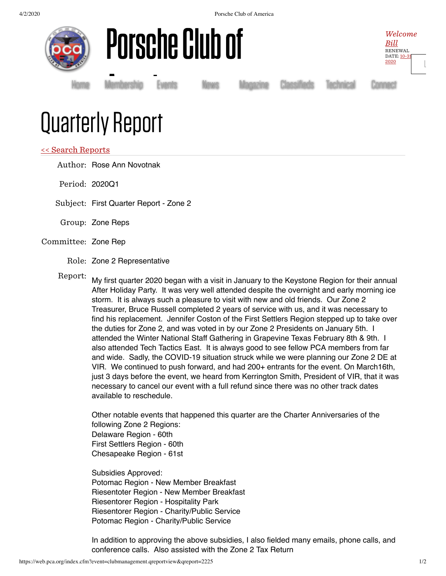4/2/2020 Porsche Club of America







[Home](https://www.pca.org/) [Membership](https://www.pca.org/membership) [Events](https://www.pca.org/events) [News](https://www.pca.org/news) [Magazine](https://www.pca.org/panorama/edition/panorama-june-2015) [Classifieds](https://www.pca.org/browse-the-mart-classified-ads) [Technical](https://www.pca.org/technical-question-search) [Connect](https://www.pca.org/contact)

## Quarterly Report Membership E<br>E

## << Search [Reports](https://web.pca.org/?event=clubmanagement.qreports)

Author: Rose Ann Novotnak

Period: 2020Q1

Subject: First Quarter Report - Zone 2

Group: Zone Reps

## Committee: Zone Rep

Role: Zone 2 Representative

Report: My first quarter 2020 began with a visit in January to the Keystone Region for their annual After Holiday Party. It was very well attended despite the overnight and early morning ice storm. It is always such a pleasure to visit with new and old friends. Our Zone 2 Treasurer, Bruce Russell completed 2 years of service with us, and it was necessary to find his replacement. Jennifer Coston of the First Settlers Region stepped up to take over the duties for Zone 2, and was voted in by our Zone 2 Presidents on January 5th. I attended the Winter National Staff Gathering in Grapevine Texas February 8th & 9th. I also attended Tech Tactics East. It is always good to see fellow PCA members from far and wide. Sadly, the COVID-19 situation struck while we were planning our Zone 2 DE at VIR. We continued to push forward, and had 200+ entrants for the event. On March16th, just 3 days before the event, we heard from Kerrington Smith, President of VIR, that it was necessary to cancel our event with a full refund since there was no other track dates available to reschedule.

Other notable events that happened this quarter are the Charter Anniversaries of the following Zone 2 Regions: Delaware Region - 60th First Settlers Region - 60th Chesapeake Region - 61st

Subsidies Approved: Potomac Region - New Member Breakfast Riesentoter Region - New Member Breakfast Riesentorer Region - Hospitality Park Riesentorer Region - Charity/Public Service Potomac Region - Charity/Public Service

In addition to approving the above subsidies, I also fielded many emails, phone calls, and conference calls. Also assisted with the Zone 2 Tax Return